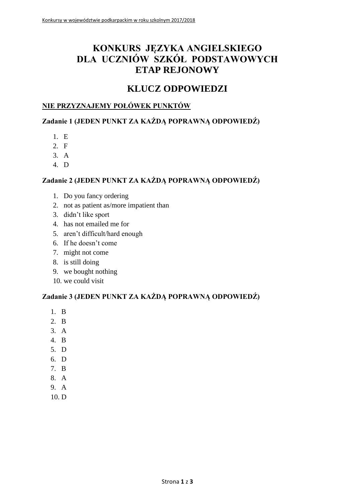# **KONKURS JĘZYKA ANGIELSKIEGO DLA UCZNIÓW SZKÓŁ PODSTAWOWYCH ETAP REJONOWY**

# **KLUCZ ODPOWIEDZI**

## **NIE PRZYZNAJEMY POŁÓWEK PUNKTÓW**

## **Zadanie 1 (JEDEN PUNKT ZA KAŻDĄ POPRAWNĄ ODPOWIEDŹ)**

- 1. E
- 2. F
- 3. A
- 4. D

## **Zadanie 2 (JEDEN PUNKT ZA KAŻDĄ POPRAWNĄ ODPOWIEDŹ)**

- 1. Do you fancy ordering
- 2. not as patient as/more impatient than
- 3. didn't like sport
- 4. has not emailed me for
- 5. aren't difficult/hard enough
- 6. If he doesn't come
- 7. might not come
- 8. is still doing
- 9. we bought nothing
- 10. we could visit

#### **Zadanie 3 (JEDEN PUNKT ZA KAŻDĄ POPRAWNĄ ODPOWIEDŹ)**

- 1. B
- 2. B
- 3. A
- 4. B
- 5. D
- 6. D
- 7. B
- 8. A
- 9. A
- 10. D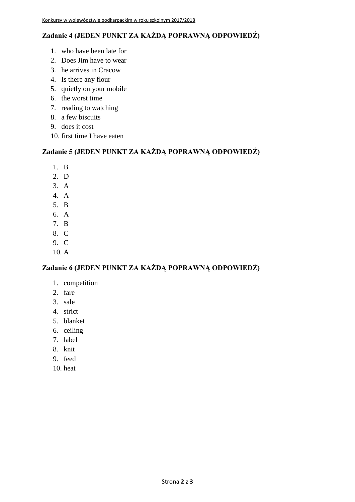## **Zadanie 4 (JEDEN PUNKT ZA KAŻDĄ POPRAWNĄ ODPOWIEDŹ)**

- 1. who have been late for
- 2. Does Jim have to wear
- 3. he arrives in Cracow
- 4. Is there any flour
- 5. quietly on your mobile
- 6. the worst time
- 7. reading to watching
- 8. a few biscuits
- 9. does it cost
- 10. first time I have eaten

## **Zadanie 5 (JEDEN PUNKT ZA KAŻDĄ POPRAWNĄ ODPOWIEDŹ)**

- 1. B
- 2. D
- 3. A
- 4. A
- 5. B
- 6. A
- 7. B
- 8. C
- 9. C
- 10. A

## **Zadanie 6 (JEDEN PUNKT ZA KAŻDĄ POPRAWNĄ ODPOWIEDŹ)**

- 1. competition
- 2. fare
- 3. sale
- 4. strict
- 5. blanket
- 6. ceiling
- 7. label
- 8. knit
- 9. feed
- 10. heat